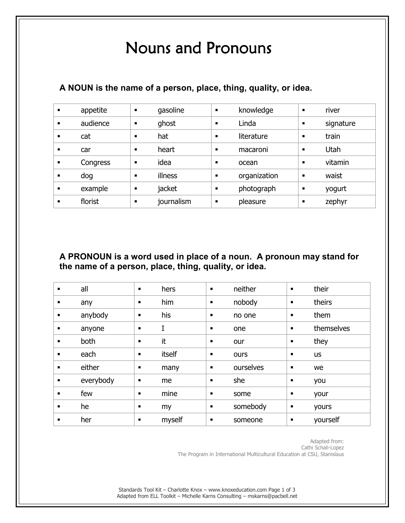## Nouns and Pronouns

| appetite | $\blacksquare$ | gasoline   | $\blacksquare$ | knowledge    | п | river     |
|----------|----------------|------------|----------------|--------------|---|-----------|
| audience | ٠              | ghost      | $\blacksquare$ | Linda        |   | signature |
| cat      |                | hat        | п              | literature   | п | train     |
| car      | $\blacksquare$ | heart      | $\blacksquare$ | macaroni     | п | Utah      |
| Congress |                | idea       |                | ocean        | п | vitamin   |
| dog      |                | illness    | $\blacksquare$ | organization | п | waist     |
| example  | $\blacksquare$ | jacket     | $\blacksquare$ | photograph   | п | yogurt    |
| florist  |                | journalism |                | pleasure     | п | zephyr    |

## **A NOUN is the name of a person, place, thing, quality, or idea.**

**A PRONOUN is a word used in place of a noun. A pronoun may stand for the name of a person, place, thing, quality, or idea.** 

| $\blacksquare$ | all       | $\blacksquare$ | hers   | $\blacksquare$ | neither   | $\blacksquare$ | their      |
|----------------|-----------|----------------|--------|----------------|-----------|----------------|------------|
| ٠              | any       | $\blacksquare$ | him    | ٠              | nobody    | ٠              | theirs     |
| ٠              | anybody   | $\blacksquare$ | his    | ٠              | no one    | $\blacksquare$ | them       |
| ٠              | anyone    | $\blacksquare$ | I      | ٠              | one       | $\blacksquare$ | themselves |
| $\blacksquare$ | both      | $\blacksquare$ | it     | ٠              | our       | ٠              | they       |
| $\blacksquare$ | each      | п              | itself | ٠              | ours      | п              | <b>us</b>  |
| $\blacksquare$ | either    | п              | many   | $\blacksquare$ | ourselves | ٠              | we         |
| $\blacksquare$ | everybody | п              | me     | ٠              | she       | ٠              | you        |
| $\blacksquare$ | few       | п              | mine   | ٠              | some      | п              | your       |
| $\blacksquare$ | he        | ٠              | my     | ٠              | somebody  | п              | yours      |
| $\blacksquare$ | her       | ٠              | myself | ٠              | someone   | п              | yourself   |

Adapted from: Cathi Schali-Lopez The Program in International Multicultural Education at CSU, Stanislaus

Standards Tool Kit – Charlotte Knox – www.knoxeducation.com Page 1 of 3 Adapted from ELL Toolkit – Michelle Karns Consulting – mskarns@pacbell.net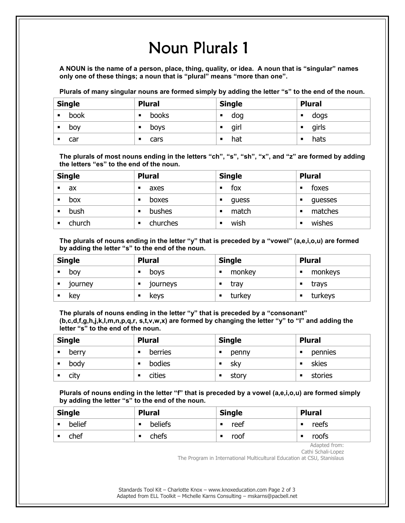## Noun Plurals 1

**A NOUN is the name of a person, place, thing, quality, or idea. A noun that is "singular" names only one of these things; a noun that is "plural" means "more than one".** 

Plurals of many singular nouns are formed simply by adding the letter "s" to the end of the noun.

| <b>Single</b> | <b>Plural</b> | <b>Single</b> | <b>Plural</b> |  |
|---------------|---------------|---------------|---------------|--|
| book          | books<br>п    | dog           | dogs<br>п     |  |
| bov           | boys          | girl          | girls<br>п    |  |
| car           | cars          | hat           | hats          |  |

**The plurals of most nouns ending in the letters "ch", "s", "sh", "x", and "z" are formed by adding the letters "es" to the end of the noun.** 

| <b>Single</b> |        | <b>Plural</b>      | <b>Single</b> | <b>Plural</b> |  |
|---------------|--------|--------------------|---------------|---------------|--|
|               | ax     | axes<br>٠          | fox           | foxes<br>٠    |  |
| п             | box    | boxes<br>٠         | guess<br>п    | guesses<br>٠  |  |
| ٠             | bush   | <b>bushes</b><br>■ | match<br>п    | matches<br>٠  |  |
|               | church | churches<br>■      | wish          | wishes<br>٠   |  |

**The plurals of nouns ending in the letter "y" that is preceded by a "vowel" (a,e,i,o,u) are formed by adding the letter "s" to the end of the noun.** 

| <b>Single</b> |         | <b>Plural</b> |          | <b>Single</b> |        | <b>Plural</b> |         |
|---------------|---------|---------------|----------|---------------|--------|---------------|---------|
|               | bov     |               | boys     |               | monkey | п             | monkeys |
|               | journey |               | journeys |               | trav   |               | trays   |
|               | key     |               | keys     |               | turkey |               | turkeys |

**The plurals of nouns ending in the letter "y" that is preceded by a "consonant" (b,c,d,f,g,h,j,k,l,m,n,p,q,r, s,t,v,w,x) are formed by changing the letter "y" to "I" and adding the letter "s" to the end of the noun.** 

| <b>Single</b> |       | <b>Plural</b> | <b>Single</b> | <b>Plural</b> |  |
|---------------|-------|---------------|---------------|---------------|--|
| ■             | berry | berries       | penny         | pennies<br>п  |  |
|               | body  | bodies        | .skv          | skies         |  |
|               | city  | cities        | story         | stories       |  |

**Plurals of nouns ending in the letter "f" that is preceded by a vowel (a,e,i,o,u) are formed simply by adding the letter "s" to the end of the noun.** 

| <b>Single</b> | <b>Plural</b> | <b>Single</b> | <b>Plural</b> |  |
|---------------|---------------|---------------|---------------|--|
| belief<br>■   | beliefs<br>п  | reef          | reefs<br>п    |  |
| chef          | chefs<br>▪    | roof          | roofs         |  |

Adapted from: Cathi Schali-Lopez

The Program in International Multicultural Education at CSU, Stanislaus

Standards Tool Kit – Charlotte Knox – www.knoxeducation.com Page 2 of 3 Adapted from ELL Toolkit – Michelle Karns Consulting – mskarns@pacbell.net